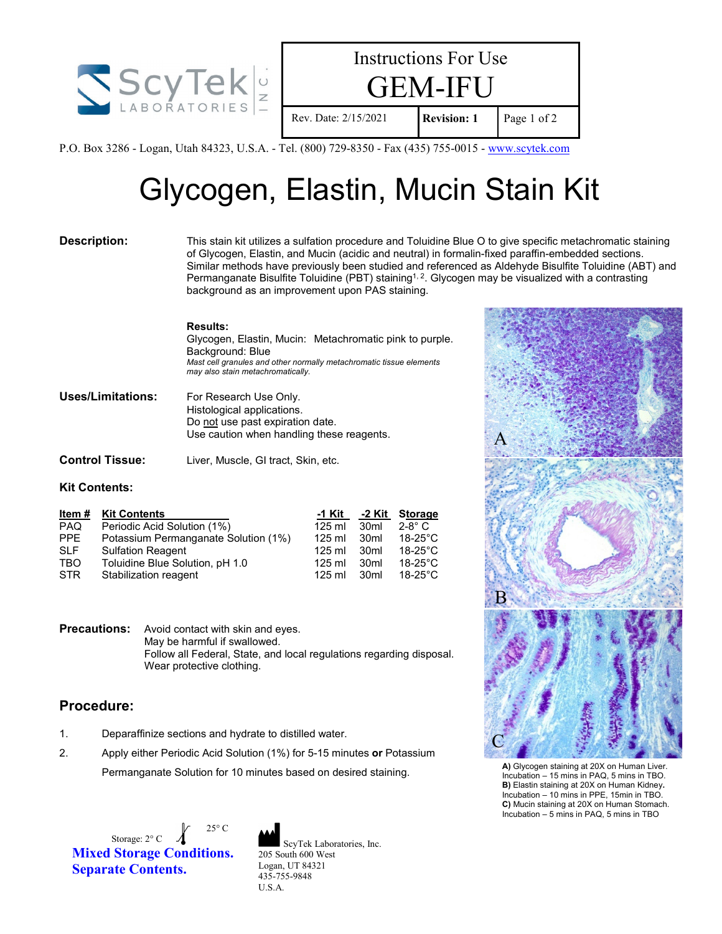



P.O. Box 3286 - Logan, Utah 84323, U.S.A. - Tel. (800) 729-8350 - Fax (435) 755-0015 - [www.scytek.com](http://www.scytek.com/)

# Glycogen, Elastin, Mucin Stain Kit

**Description:** This stain kit utilizes a sulfation procedure and Toluidine Blue O to give specific metachromatic staining of Glycogen, Elastin, and Mucin (acidic and neutral) in formalin-fixed paraffin-embedded sections. Similar methods have previously been studied and referenced as Aldehyde Bisulfite Toluidine (ABT) and Permanganate Bisulfite Toluidine (PBT) staining<sup>1, 2</sup>. Glycogen may be visualized with a contrasting background as an improvement upon PAS staining.

# **Results:**

Glycogen, Elastin, Mucin: Metachromatic pink to purple. Background: Blue *Mast cell granules and other normally metachromatic tissue elements may also stain metachromatically.*

| <b>Uses/Limitations:</b> | For Research Use Only.                    |
|--------------------------|-------------------------------------------|
|                          | Histological applications.                |
|                          | Do not use past expiration date.          |
|                          | Use caution when handling these reagents. |
|                          |                                           |

**Control Tissue:** Liver, Muscle, GI tract, Skin, etc.

# **Kit Contents:**

| Item $#$   | <b>Kit Contents</b>                  | -1 Kit   | -2 Kit           | Storage           |
|------------|--------------------------------------|----------|------------------|-------------------|
| <b>PAQ</b> | Periodic Acid Solution (1%)          | $125$ ml | 30 <sub>ml</sub> | $2-8^\circ$ C     |
| <b>PPE</b> | Potassium Permanganate Solution (1%) | $125$ ml | 30ml             | $18-25^{\circ}$ C |
| <b>SLF</b> | <b>Sulfation Reagent</b>             | $125$ ml | 30 <sub>ml</sub> | $18-25$ °C        |
| <b>TBO</b> | Toluidine Blue Solution, pH 1.0      | $125$ ml | 30 <sub>ml</sub> | $18-25^{\circ}$ C |
| <b>STR</b> | Stabilization reagent                | $125$ ml | 30 <sub>ml</sub> | $18-25^{\circ}$ C |

**Precautions:** Avoid contact with skin and eyes. May be harmful if swallowed. Follow all Federal, State, and local regulations regarding disposal. Wear protective clothing.

# **Procedure:**

- 1. Deparaffinize sections and hydrate to distilled water.
- 2. Apply either Periodic Acid Solution (1%) for 5-15 minutes **or** Potassium Permanganate Solution for 10 minutes based on desired staining.

Storage:  $2^{\circ}$  C  $\overline{\phantom{a}}$ 25° C **Mixed Storage Conditions. Separate Contents.**





**A)** Glycogen staining at 20X on Human Liver. Incubation – 15 mins in PAQ, 5 mins in TBO. **B)** Elastin staining at 20X on Human Kidney**.** Incubation – 10 mins in PPE, 15min in TBO. **C)** Mucin staining at 20X on Human Stomach. Incubation – 5 mins in PAQ, 5 mins in TBO